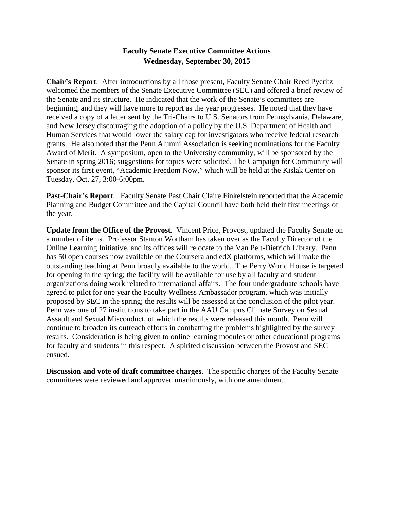## **Faculty Senate Executive Committee Actions Wednesday, September 30, 2015**

**Chair's Report**. After introductions by all those present, Faculty Senate Chair Reed Pyeritz welcomed the members of the Senate Executive Committee (SEC) and offered a brief review of the Senate and its structure. He indicated that the work of the Senate's committees are beginning, and they will have more to report as the year progresses. He noted that they have received a copy of a letter sent by the Tri-Chairs to U.S. Senators from Pennsylvania, Delaware, and New Jersey discouraging the adoption of a policy by the U.S. Department of Health and Human Services that would lower the salary cap for investigators who receive federal research grants. He also noted that the Penn Alumni Association is seeking nominations for the Faculty Award of Merit. A symposium, open to the University community, will be sponsored by the Senate in spring 2016; suggestions for topics were solicited. The Campaign for Community will sponsor its first event, "Academic Freedom Now," which will be held at the Kislak Center on Tuesday, Oct. 27, 3:00-6:00pm.

**Past-Chair's Report**. Faculty Senate Past Chair Claire Finkelstein reported that the Academic Planning and Budget Committee and the Capital Council have both held their first meetings of the year.

**Update from the Office of the Provost**. Vincent Price, Provost, updated the Faculty Senate on a number of items. Professor Stanton Wortham has taken over as the Faculty Director of the Online Learning Initiative, and its offices will relocate to the Van Pelt-Dietrich Library. Penn has 50 open courses now available on the Coursera and edX platforms, which will make the outstanding teaching at Penn broadly available to the world. The Perry World House is targeted for opening in the spring; the facility will be available for use by all faculty and student organizations doing work related to international affairs. The four undergraduate schools have agreed to pilot for one year the Faculty Wellness Ambassador program, which was initially proposed by SEC in the spring; the results will be assessed at the conclusion of the pilot year. Penn was one of 27 institutions to take part in the AAU Campus Climate Survey on Sexual Assault and Sexual Misconduct, of which the results were released this month. Penn will continue to broaden its outreach efforts in combatting the problems highlighted by the survey results. Consideration is being given to online learning modules or other educational programs for faculty and students in this respect. A spirited discussion between the Provost and SEC ensued.

**Discussion and vote of draft committee charges**. The specific charges of the Faculty Senate committees were reviewed and approved unanimously, with one amendment.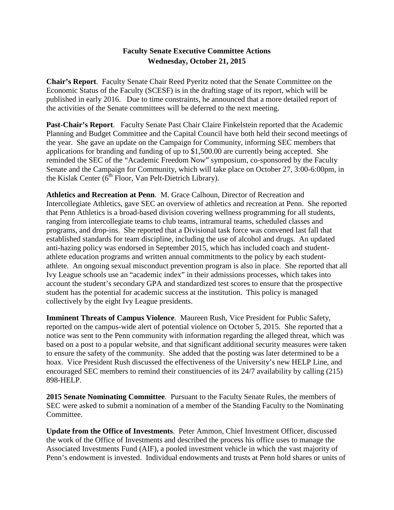## **Faculty Senate Executive Committee Actions Wednesday, October 21, 2015**

**Chair's Report**. Faculty Senate Chair Reed Pyeritz noted that the Senate Committee on the Economic Status of the Faculty (SCESF) is in the drafting stage of its report, which will be published in early 2016. Due to time constraints, he announced that a more detailed report of the activities of the Senate committees will be deferred to the next meeting.

**Past-Chair's Report**. Faculty Senate Past Chair Claire Finkelstein reported that the Academic Planning and Budget Committee and the Capital Council have both held their second meetings of the year. She gave an update on the Campaign for Community, informing SEC members that applications for branding and funding of up to \$1,500.00 are currently being accepted. She reminded the SEC of the "Academic Freedom Now" symposium, co-sponsored by the Faculty Senate and the Campaign for Community, which will take place on October 27, 3:00-6:00pm, in the Kislak Center  $(6^{th}$  Floor, Van Pelt-Dietrich Library).

**Athletics and Recreation at Penn**. M. Grace Calhoun, Director of Recreation and Intercollegiate Athletics, gave SEC an overview of athletics and recreation at Penn. She reported that Penn Athletics is a broad-based division covering wellness programming for all students, ranging from intercollegiate teams to club teams, intramural teams, scheduled classes and programs, and drop-ins. She reported that a Divisional task force was convened last fall that established standards for team discipline, including the use of alcohol and drugs. An updated anti-hazing policy was endorsed in September 2015, which has included coach and studentathlete education programs and written annual commitments to the policy by each studentathlete. An ongoing sexual misconduct prevention program is also in place. She reported that all Ivy League schools use an "academic index" in their admissions processes, which takes into account the student's secondary GPA and standardized test scores to ensure that the prospective student has the potential for academic success at the institution. This policy is managed collectively by the eight Ivy League presidents.

**Imminent Threats of Campus Violence**. Maureen Rush, Vice President for Public Safety, reported on the campus-wide alert of potential violence on October 5, 2015. She reported that a notice was sent to the Penn community with information regarding the alleged threat, which was based on a post to a popular website, and that significant additional security measures were taken to ensure the safety of the community. She added that the posting was later determined to be a hoax. Vice President Rush discussed the effectiveness of the University's new HELP Line, and encouraged SEC members to remind their constituencies of its 24/7 availability by calling (215) 898-HELP.

**2015 Senate Nominating Committee**. Pursuant to the Faculty Senate Rules, the members of SEC were asked to submit a nomination of a member of the Standing Faculty to the Nominating Committee.

**Update from the Office of Investments**. Peter Ammon, Chief Investment Officer, discussed the work of the Office of Investments and described the process his office uses to manage the Associated Investments Fund (AIF), a pooled investment vehicle in which the vast majority of Penn's endowment is invested. Individual endowments and trusts at Penn hold shares or units of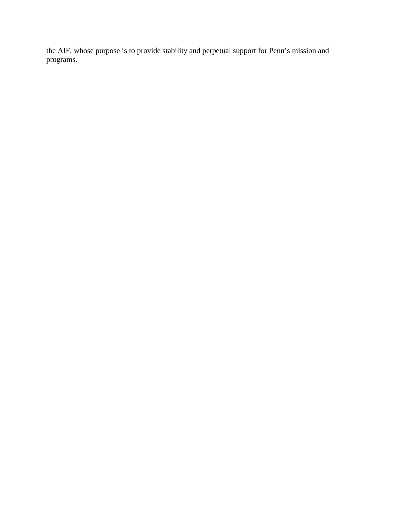the AIF, whose purpose is to provide stability and perpetual support for Penn's mission and programs.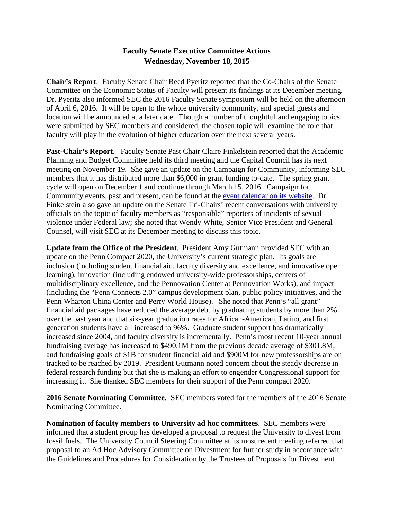## **Faculty Senate Executive Committee Actions Wednesday, November 18, 2015**

**Chair's Report**. Faculty Senate Chair Reed Pyeritz reported that the Co-Chairs of the Senate Committee on the Economic Status of Faculty will present its findings at its December meeting. Dr. Pyeritz also informed SEC the 2016 Faculty Senate symposium will be held on the afternoon of April 6, 2016. It will be open to the whole university community, and special guests and location will be announced at a later date. Though a number of thoughtful and engaging topics were submitted by SEC members and considered, the chosen topic will examine the role that faculty will play in the evolution of higher education over the next several years.

**Past-Chair's Report**. Faculty Senate Past Chair Claire Finkelstein reported that the Academic Planning and Budget Committee held its third meeting and the Capital Council has its next meeting on November 19. She gave an update on the Campaign for Community, informing SEC members that it has distributed more than \$6,000 in grant funding to-date. The spring grant cycle will open on December 1 and continue through March 15, 2016. Campaign for Community events, past and present, can be found at the [event calendar on its website.](https://provost.upenn.edu/initiatives/campaign/calendar) Dr. Finkelstein also gave an update on the Senate Tri-Chairs' recent conversations with university officials on the topic of faculty members as "responsible" reporters of incidents of sexual violence under Federal law; she noted that Wendy White, Senior Vice President and General Counsel, will visit SEC at its December meeting to discuss this topic.

**Update from the Office of the President**. President Amy Gutmann provided SEC with an update on the Penn Compact 2020, the University's current strategic plan. Its goals are inclusion (including student financial aid, faculty diversity and excellence, and innovative open learning), innovation (including endowed university-wide professorships, centers of multidisciplinary excellence, and the Pennovation Center at Pennovation Works), and impact (including the "Penn Connects 2.0" campus development plan, public policy initiatives, and the Penn Wharton China Center and Perry World House). She noted that Penn's "all grant" financial aid packages have reduced the average debt by graduating students by more than 2% over the past year and that six-year graduation rates for African-American, Latino, and first generation students have all increased to 96%. Graduate student support has dramatically increased since 2004, and faculty diversity is incrementally. Penn's most recent 10-year annual fundraising average has increased to \$490.1M from the previous decade average of \$301.8M, and fundraising goals of \$1B for student financial aid and \$900M for new professorships are on tracked to be reached by 2019. President Gutmann noted concern about the steady decrease in federal research funding but that she is making an effort to engender Congressional support for increasing it. She thanked SEC members for their support of the Penn compact 2020.

**2016 Senate Nominating Committee.** SEC members voted for the members of the 2016 Senate Nominating Committee.

**Nomination of faculty members to University ad hoc committees**. SEC members were informed that a student group has developed a proposal to request the University to divest from fossil fuels. The University Council Steering Committee at its most recent meeting referred that proposal to an Ad Hoc Advisory Committee on Divestment for further study in accordance with the Guidelines and Procedures for Consideration by the Trustees of Proposals for Divestment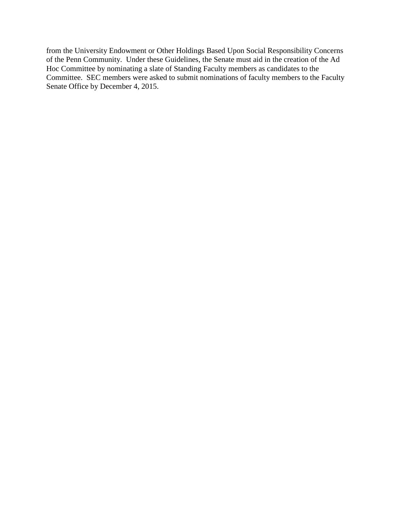from the University Endowment or Other Holdings Based Upon Social Responsibility Concerns of the Penn Community. Under these Guidelines, the Senate must aid in the creation of the Ad Hoc Committee by nominating a slate of Standing Faculty members as candidates to the Committee. SEC members were asked to submit nominations of faculty members to the Faculty Senate Office by December 4, 2015.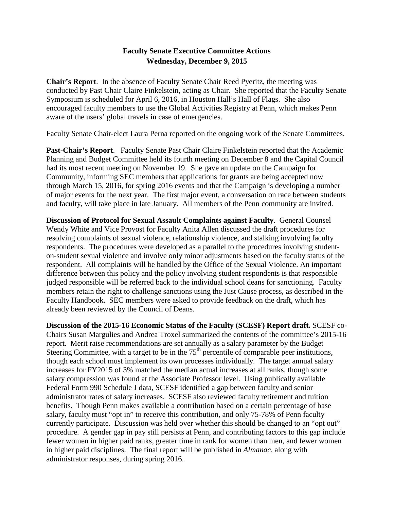#### **Faculty Senate Executive Committee Actions Wednesday, December 9, 2015**

**Chair's Report**. In the absence of Faculty Senate Chair Reed Pyeritz, the meeting was conducted by Past Chair Claire Finkelstein, acting as Chair. She reported that the Faculty Senate Symposium is scheduled for April 6, 2016, in Houston Hall's Hall of Flags. She also encouraged faculty members to use the Global Activities Registry at Penn, which makes Penn aware of the users' global travels in case of emergencies.

Faculty Senate Chair-elect Laura Perna reported on the ongoing work of the Senate Committees.

**Past-Chair's Report**. Faculty Senate Past Chair Claire Finkelstein reported that the Academic Planning and Budget Committee held its fourth meeting on December 8 and the Capital Council had its most recent meeting on November 19. She gave an update on the Campaign for Community, informing SEC members that applications for grants are being accepted now through March 15, 2016, for spring 2016 events and that the Campaign is developing a number of major events for the next year. The first major event, a conversation on race between students and faculty, will take place in late January. All members of the Penn community are invited.

**Discussion of Protocol for Sexual Assault Complaints against Faculty**. General Counsel Wendy White and Vice Provost for Faculty Anita Allen discussed the draft procedures for resolving complaints of sexual violence, relationship violence, and stalking involving faculty respondents. The procedures were developed as a parallel to the procedures involving studenton-student sexual violence and involve only minor adjustments based on the faculty status of the respondent. All complaints will be handled by the Office of the Sexual Violence. An important difference between this policy and the policy involving student respondents is that responsible judged responsible will be referred back to the individual school deans for sanctioning. Faculty members retain the right to challenge sanctions using the Just Cause process, as described in the Faculty Handbook. SEC members were asked to provide feedback on the draft, which has already been reviewed by the Council of Deans.

**Discussion of the 2015-16 Economic Status of the Faculty (SCESF) Report draft.** SCESF co-Chairs Susan Margulies and Andrea Troxel summarized the contents of the committee's 2015-16 report. Merit raise recommendations are set annually as a salary parameter by the Budget Steering Committee, with a target to be in the  $75<sup>th</sup>$  percentile of comparable peer institutions, though each school must implement its own processes individually. The target annual salary increases for FY2015 of 3% matched the median actual increases at all ranks, though some salary compression was found at the Associate Professor level. Using publically available Federal Form 990 Schedule J data, SCESF identified a gap between faculty and senior administrator rates of salary increases. SCESF also reviewed faculty retirement and tuition benefits. Though Penn makes available a contribution based on a certain percentage of base salary, faculty must "opt in" to receive this contribution, and only 75-78% of Penn faculty currently participate. Discussion was held over whether this should be changed to an "opt out" procedure. A gender gap in pay still persists at Penn, and contributing factors to this gap include fewer women in higher paid ranks, greater time in rank for women than men, and fewer women in higher paid disciplines. The final report will be published in *Almanac*, along with administrator responses, during spring 2016.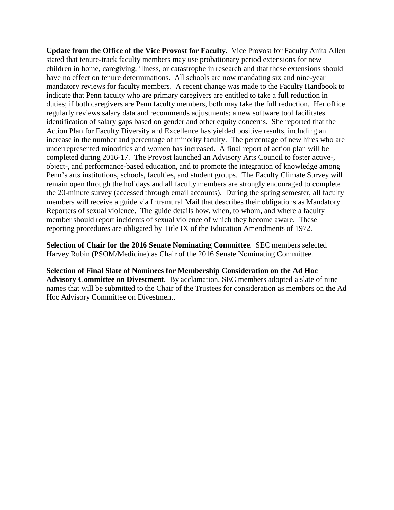**Update from the Office of the Vice Provost for Faculty.** Vice Provost for Faculty Anita Allen stated that tenure-track faculty members may use probationary period extensions for new children in home, caregiving, illness, or catastrophe in research and that these extensions should have no effect on tenure determinations. All schools are now mandating six and nine-year mandatory reviews for faculty members. A recent change was made to the Faculty Handbook to indicate that Penn faculty who are primary caregivers are entitled to take a full reduction in duties; if both caregivers are Penn faculty members, both may take the full reduction. Her office regularly reviews salary data and recommends adjustments; a new software tool facilitates identification of salary gaps based on gender and other equity concerns. She reported that the Action Plan for Faculty Diversity and Excellence has yielded positive results, including an increase in the number and percentage of minority faculty. The percentage of new hires who are underrepresented minorities and women has increased. A final report of action plan will be completed during 2016-17. The Provost launched an Advisory Arts Council to foster active-, object-, and performance-based education, and to promote the integration of knowledge among Penn's arts institutions, schools, faculties, and student groups. The Faculty Climate Survey will remain open through the holidays and all faculty members are strongly encouraged to complete the 20-minute survey (accessed through email accounts). During the spring semester, all faculty members will receive a guide via Intramural Mail that describes their obligations as Mandatory Reporters of sexual violence. The guide details how, when, to whom, and where a faculty member should report incidents of sexual violence of which they become aware. These reporting procedures are obligated by Title IX of the Education Amendments of 1972.

**Selection of Chair for the 2016 Senate Nominating Committee**. SEC members selected Harvey Rubin (PSOM/Medicine) as Chair of the 2016 Senate Nominating Committee.

**Selection of Final Slate of Nominees for Membership Consideration on the Ad Hoc Advisory Committee on Divestment**. By acclamation, SEC members adopted a slate of nine names that will be submitted to the Chair of the Trustees for consideration as members on the Ad Hoc Advisory Committee on Divestment.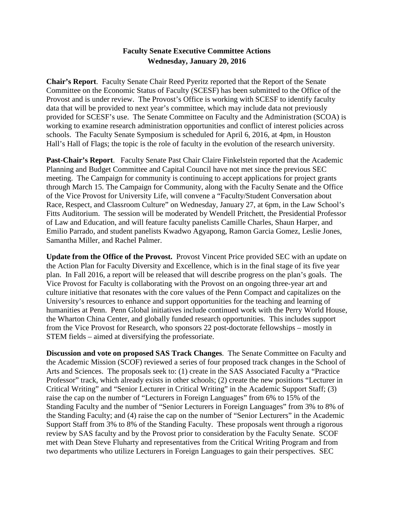#### **Faculty Senate Executive Committee Actions Wednesday, January 20, 2016**

**Chair's Report**. Faculty Senate Chair Reed Pyeritz reported that the Report of the Senate Committee on the Economic Status of Faculty (SCESF) has been submitted to the Office of the Provost and is under review. The Provost's Office is working with SCESF to identify faculty data that will be provided to next year's committee, which may include data not previously provided for SCESF's use. The Senate Committee on Faculty and the Administration (SCOA) is working to examine research administration opportunities and conflict of interest policies across schools. The Faculty Senate Symposium is scheduled for April 6, 2016, at 4pm, in Houston Hall's Hall of Flags; the topic is the role of faculty in the evolution of the research university.

**Past-Chair's Report**. Faculty Senate Past Chair Claire Finkelstein reported that the Academic Planning and Budget Committee and Capital Council have not met since the previous SEC meeting. The Campaign for community is continuing to accept applications for project grants through March 15. The Campaign for Community, along with the Faculty Senate and the Office of the Vice Provost for University Life, will convene a "Faculty/Student Conversation about Race, Respect, and Classroom Culture" on Wednesday, January 27, at 6pm, in the Law School's Fitts Auditorium. The session will be moderated by Wendell Pritchett, the Presidential Professor of Law and Education, and will feature faculty panelists Camille Charles, Shaun Harper, and Emilio Parrado, and student panelists Kwadwo Agyapong, Ramon Garcia Gomez, Leslie Jones, Samantha Miller, and Rachel Palmer.

**Update from the Office of the Provost.** Provost Vincent Price provided SEC with an update on the Action Plan for Faculty Diversity and Excellence, which is in the final stage of its five year plan. In Fall 2016, a report will be released that will describe progress on the plan's goals. The Vice Provost for Faculty is collaborating with the Provost on an ongoing three-year art and culture initiative that resonates with the core values of the Penn Compact and capitalizes on the University's resources to enhance and support opportunities for the teaching and learning of humanities at Penn. Penn Global initiatives include continued work with the Perry World House, the Wharton China Center, and globally funded research opportunities. This includes support from the Vice Provost for Research, who sponsors 22 post-doctorate fellowships – mostly in STEM fields – aimed at diversifying the professoriate.

**Discussion and vote on proposed SAS Track Changes**. The Senate Committee on Faculty and the Academic Mission (SCOF) reviewed a series of four proposed track changes in the School of Arts and Sciences. The proposals seek to: (1) create in the SAS Associated Faculty a "Practice Professor" track, which already exists in other schools; (2) create the new positions "Lecturer in Critical Writing" and "Senior Lecturer in Critical Writing" in the Academic Support Staff; (3) raise the cap on the number of "Lecturers in Foreign Languages" from 6% to 15% of the Standing Faculty and the number of "Senior Lecturers in Foreign Languages" from 3% to 8% of the Standing Faculty; and (4) raise the cap on the number of "Senior Lecturers" in the Academic Support Staff from 3% to 8% of the Standing Faculty. These proposals went through a rigorous review by SAS faculty and by the Provost prior to consideration by the Faculty Senate. SCOF met with Dean Steve Fluharty and representatives from the Critical Writing Program and from two departments who utilize Lecturers in Foreign Languages to gain their perspectives. SEC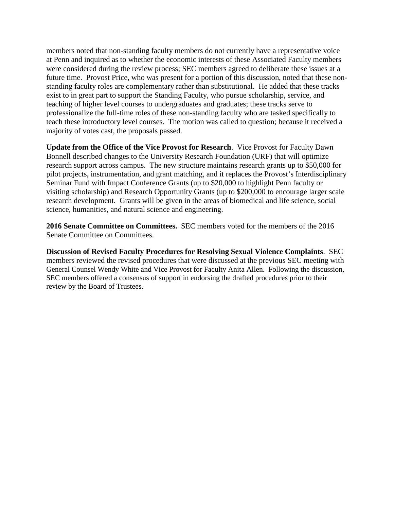members noted that non-standing faculty members do not currently have a representative voice at Penn and inquired as to whether the economic interests of these Associated Faculty members were considered during the review process; SEC members agreed to deliberate these issues at a future time. Provost Price, who was present for a portion of this discussion, noted that these nonstanding faculty roles are complementary rather than substitutional. He added that these tracks exist to in great part to support the Standing Faculty, who pursue scholarship, service, and teaching of higher level courses to undergraduates and graduates; these tracks serve to professionalize the full-time roles of these non-standing faculty who are tasked specifically to teach these introductory level courses. The motion was called to question; because it received a majority of votes cast, the proposals passed.

**Update from the Office of the Vice Provost for Research**. Vice Provost for Faculty Dawn Bonnell described changes to the University Research Foundation (URF) that will optimize research support across campus. The new structure maintains research grants up to \$50,000 for pilot projects, instrumentation, and grant matching, and it replaces the Provost's Interdisciplinary Seminar Fund with Impact Conference Grants (up to \$20,000 to highlight Penn faculty or visiting scholarship) and Research Opportunity Grants (up to \$200,000 to encourage larger scale research development. Grants will be given in the areas of biomedical and life science, social science, humanities, and natural science and engineering.

**2016 Senate Committee on Committees.** SEC members voted for the members of the 2016 Senate Committee on Committees.

**Discussion of Revised Faculty Procedures for Resolving Sexual Violence Complaints**. SEC members reviewed the revised procedures that were discussed at the previous SEC meeting with General Counsel Wendy White and Vice Provost for Faculty Anita Allen. Following the discussion, SEC members offered a consensus of support in endorsing the drafted procedures prior to their review by the Board of Trustees.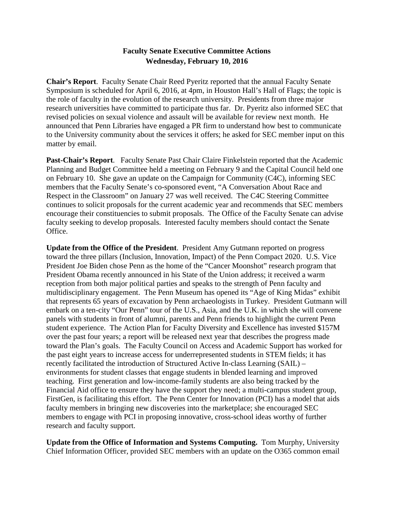## **Faculty Senate Executive Committee Actions Wednesday, February 10, 2016**

**Chair's Report**. Faculty Senate Chair Reed Pyeritz reported that the annual Faculty Senate Symposium is scheduled for April 6, 2016, at 4pm, in Houston Hall's Hall of Flags; the topic is the role of faculty in the evolution of the research university. Presidents from three major research universities have committed to participate thus far. Dr. Pyeritz also informed SEC that revised policies on sexual violence and assault will be available for review next month. He announced that Penn Libraries have engaged a PR firm to understand how best to communicate to the University community about the services it offers; he asked for SEC member input on this matter by email.

**Past-Chair's Report**. Faculty Senate Past Chair Claire Finkelstein reported that the Academic Planning and Budget Committee held a meeting on February 9 and the Capital Council held one on February 10. She gave an update on the Campaign for Community (C4C), informing SEC members that the Faculty Senate's co-sponsored event, "A Conversation About Race and Respect in the Classroom" on January 27 was well received. The C4C Steering Committee continues to solicit proposals for the current academic year and recommends that SEC members encourage their constituencies to submit proposals. The Office of the Faculty Senate can advise faculty seeking to develop proposals. Interested faculty members should contact the Senate Office.

**Update from the Office of the President**. President Amy Gutmann reported on progress toward the three pillars (Inclusion, Innovation, Impact) of the Penn Compact 2020. U.S. Vice President Joe Biden chose Penn as the home of the "Cancer Moonshot" research program that President Obama recently announced in his State of the Union address; it received a warm reception from both major political parties and speaks to the strength of Penn faculty and multidisciplinary engagement. The Penn Museum has opened its "Age of King Midas" exhibit that represents 65 years of excavation by Penn archaeologists in Turkey. President Gutmann will embark on a ten-city "Our Penn" tour of the U.S., Asia, and the U.K. in which she will convene panels with students in front of alumni, parents and Penn friends to highlight the current Penn student experience. The Action Plan for Faculty Diversity and Excellence has invested \$157M over the past four years; a report will be released next year that describes the progress made toward the Plan's goals. The Faculty Council on Access and Academic Support has worked for the past eight years to increase access for underrepresented students in STEM fields; it has recently facilitated the introduction of Structured Active In-class Learning (SAIL) – environments for student classes that engage students in blended learning and improved teaching. First generation and low-income-family students are also being tracked by the Financial Aid office to ensure they have the support they need; a multi-campus student group, FirstGen, is facilitating this effort. The Penn Center for Innovation (PCI) has a model that aids faculty members in bringing new discoveries into the marketplace; she encouraged SEC members to engage with PCI in proposing innovative, cross-school ideas worthy of further research and faculty support.

**Update from the Office of Information and Systems Computing.** Tom Murphy, University Chief Information Officer, provided SEC members with an update on the O365 common email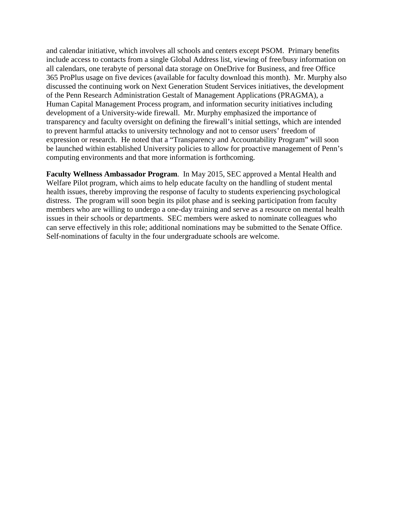and calendar initiative, which involves all schools and centers except PSOM. Primary benefits include access to contacts from a single Global Address list, viewing of free/busy information on all calendars, one terabyte of personal data storage on OneDrive for Business, and free Office 365 ProPlus usage on five devices (available for faculty download this month). Mr. Murphy also discussed the continuing work on Next Generation Student Services initiatives, the development of the Penn Research Administration Gestalt of Management Applications (PRAGMA), a Human Capital Management Process program, and information security initiatives including development of a University-wide firewall. Mr. Murphy emphasized the importance of transparency and faculty oversight on defining the firewall's initial settings, which are intended to prevent harmful attacks to university technology and not to censor users' freedom of expression or research. He noted that a "Transparency and Accountability Program" will soon be launched within established University policies to allow for proactive management of Penn's computing environments and that more information is forthcoming.

**Faculty Wellness Ambassador Program**. In May 2015, SEC approved a Mental Health and Welfare Pilot program, which aims to help educate faculty on the handling of student mental health issues, thereby improving the response of faculty to students experiencing psychological distress. The program will soon begin its pilot phase and is seeking participation from faculty members who are willing to undergo a one-day training and serve as a resource on mental health issues in their schools or departments. SEC members were asked to nominate colleagues who can serve effectively in this role; additional nominations may be submitted to the Senate Office. Self-nominations of faculty in the four undergraduate schools are welcome.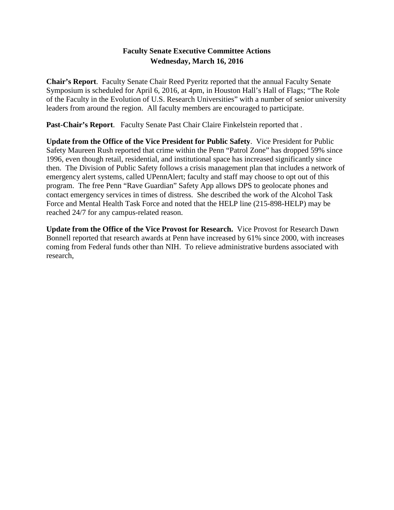## **Faculty Senate Executive Committee Actions Wednesday, March 16, 2016**

**Chair's Report**. Faculty Senate Chair Reed Pyeritz reported that the annual Faculty Senate Symposium is scheduled for April 6, 2016, at 4pm, in Houston Hall's Hall of Flags; "The Role of the Faculty in the Evolution of U.S. Research Universities" with a number of senior university leaders from around the region. All faculty members are encouraged to participate.

**Past-Chair's Report**. Faculty Senate Past Chair Claire Finkelstein reported that .

**Update from the Office of the Vice President for Public Safety**. Vice President for Public Safety Maureen Rush reported that crime within the Penn "Patrol Zone" has dropped 59% since 1996, even though retail, residential, and institutional space has increased significantly since then. The Division of Public Safety follows a crisis management plan that includes a network of emergency alert systems, called UPennAlert; faculty and staff may choose to opt out of this program. The free Penn "Rave Guardian" Safety App allows DPS to geolocate phones and contact emergency services in times of distress. She described the work of the Alcohol Task Force and Mental Health Task Force and noted that the HELP line (215-898-HELP) may be reached 24/7 for any campus-related reason.

**Update from the Office of the Vice Provost for Research.** Vice Provost for Research Dawn Bonnell reported that research awards at Penn have increased by 61% since 2000, with increases coming from Federal funds other than NIH. To relieve administrative burdens associated with research,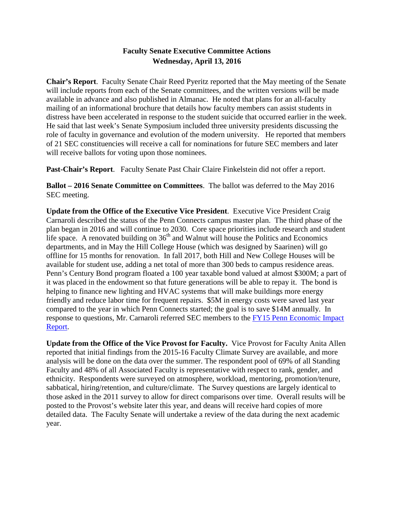# **Faculty Senate Executive Committee Actions Wednesday, April 13, 2016**

**Chair's Report**. Faculty Senate Chair Reed Pyeritz reported that the May meeting of the Senate will include reports from each of the Senate committees, and the written versions will be made available in advance and also published in Almanac. He noted that plans for an all-faculty mailing of an informational brochure that details how faculty members can assist students in distress have been accelerated in response to the student suicide that occurred earlier in the week. He said that last week's Senate Symposium included three university presidents discussing the role of faculty in governance and evolution of the modern university. He reported that members of 21 SEC constituencies will receive a call for nominations for future SEC members and later will receive ballots for voting upon those nominees.

**Past-Chair's Report**. Faculty Senate Past Chair Claire Finkelstein did not offer a report.

**Ballot – 2016 Senate Committee on Committees**. The ballot was deferred to the May 2016 SEC meeting.

**Update from the Office of the Executive Vice President**. Executive Vice President Craig Carnaroli described the status of the Penn Connects campus master plan. The third phase of the plan began in 2016 and will continue to 2030. Core space priorities include research and student life space. A renovated building on  $36<sup>th</sup>$  and Walnut will house the Politics and Economics departments, and in May the Hill College House (which was designed by Saarinen) will go offline for 15 months for renovation. In fall 2017, both Hill and New College Houses will be available for student use, adding a net total of more than 300 beds to campus residence areas. Penn's Century Bond program floated a 100 year taxable bond valued at almost \$300M; a part of it was placed in the endowment so that future generations will be able to repay it. The bond is helping to finance new lighting and HVAC systems that will make buildings more energy friendly and reduce labor time for frequent repairs. \$5M in energy costs were saved last year compared to the year in which Penn Connects started; the goal is to save \$14M annually. In response to questions, Mr. Carnaroli referred SEC members to the [FY15 Penn Economic Impact](http://www.evp.upenn.edu/pdf/Penn_Economic_Impact_Powering_PHL_PA.pdf)  [Report.](http://www.evp.upenn.edu/pdf/Penn_Economic_Impact_Powering_PHL_PA.pdf)

**Update from the Office of the Vice Provost for Faculty.** Vice Provost for Faculty Anita Allen reported that initial findings from the 2015-16 Faculty Climate Survey are available, and more analysis will be done on the data over the summer. The respondent pool of 69% of all Standing Faculty and 48% of all Associated Faculty is representative with respect to rank, gender, and ethnicity. Respondents were surveyed on atmosphere, workload, mentoring, promotion/tenure, sabbatical, hiring/retention, and culture/climate. The Survey questions are largely identical to those asked in the 2011 survey to allow for direct comparisons over time. Overall results will be posted to the Provost's website later this year, and deans will receive hard copies of more detailed data. The Faculty Senate will undertake a review of the data during the next academic year.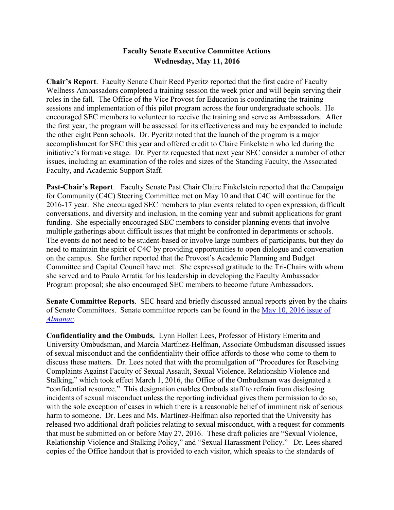## **Faculty Senate Executive Committee Actions Wednesday, May 11, 2016**

**Chair's Report**. Faculty Senate Chair Reed Pyeritz reported that the first cadre of Faculty Wellness Ambassadors completed a training session the week prior and will begin serving their roles in the fall. The Office of the Vice Provost for Education is coordinating the training sessions and implementation of this pilot program across the four undergraduate schools. He encouraged SEC members to volunteer to receive the training and serve as Ambassadors. After the first year, the program will be assessed for its effectiveness and may be expanded to include the other eight Penn schools. Dr. Pyeritz noted that the launch of the program is a major accomplishment for SEC this year and offered credit to Claire Finkelstein who led during the initiative's formative stage. Dr. Pyeritz requested that next year SEC consider a number of other issues, including an examination of the roles and sizes of the Standing Faculty, the Associated Faculty, and Academic Support Staff.

**Past-Chair's Report**. Faculty Senate Past Chair Claire Finkelstein reported that the Campaign for Community (C4C) Steering Committee met on May 10 and that C4C will continue for the 2016-17 year. She encouraged SEC members to plan events related to open expression, difficult conversations, and diversity and inclusion, in the coming year and submit applications for grant funding. She especially encouraged SEC members to consider planning events that involve multiple gatherings about difficult issues that might be confronted in departments or schools. The events do not need to be student-based or involve large numbers of participants, but they do need to maintain the spirit of C4C by providing opportunities to open dialogue and conversation on the campus. She further reported that the Provost's Academic Planning and Budget Committee and Capital Council have met. She expressed gratitude to the Tri-Chairs with whom she served and to Paulo Arratia for his leadership in developing the Faculty Ambassador Program proposal; she also encouraged SEC members to become future Ambassadors.

**Senate Committee Reports**. SEC heard and briefly discussed annual reports given by the chairs of Senate Committees. Senate committee reports can be found in the [May 10, 2016 issue of](http://www.upenn.edu/almanac/volumes/v62/n34/pdf/051016-supplement.pdf)  *[Almanac.](http://www.upenn.edu/almanac/volumes/v62/n34/pdf/051016-supplement.pdf)*

**Confidentiality and the Ombuds.** Lynn Hollen Lees, Professor of History Emerita and University Ombudsman, and Marcia Martínez-Helfman, Associate Ombudsman discussed issues of sexual misconduct and the confidentiality their office affords to those who come to them to discuss these matters. Dr. Lees noted that with the promulgation of "Procedures for Resolving Complaints Against Faculty of Sexual Assault, Sexual Violence, Relationship Violence and Stalking," which took effect March 1, 2016, the Office of the Ombudsman was designated a "confidential resource." This designation enables Ombuds staff to refrain from disclosing incidents of sexual misconduct unless the reporting individual gives them permission to do so, with the sole exception of cases in which there is a reasonable belief of imminent risk of serious harm to someone. Dr. Lees and Ms. Martínez-Helfman also reported that the University has released two additional draft policies relating to sexual misconduct, with a request for comments that must be submitted on or before May 27, 2016. These draft policies are "Sexual Violence, Relationship Violence and Stalking Policy," and "Sexual Harassment Policy." Dr. Lees shared copies of the Office handout that is provided to each visitor, which speaks to the standards of